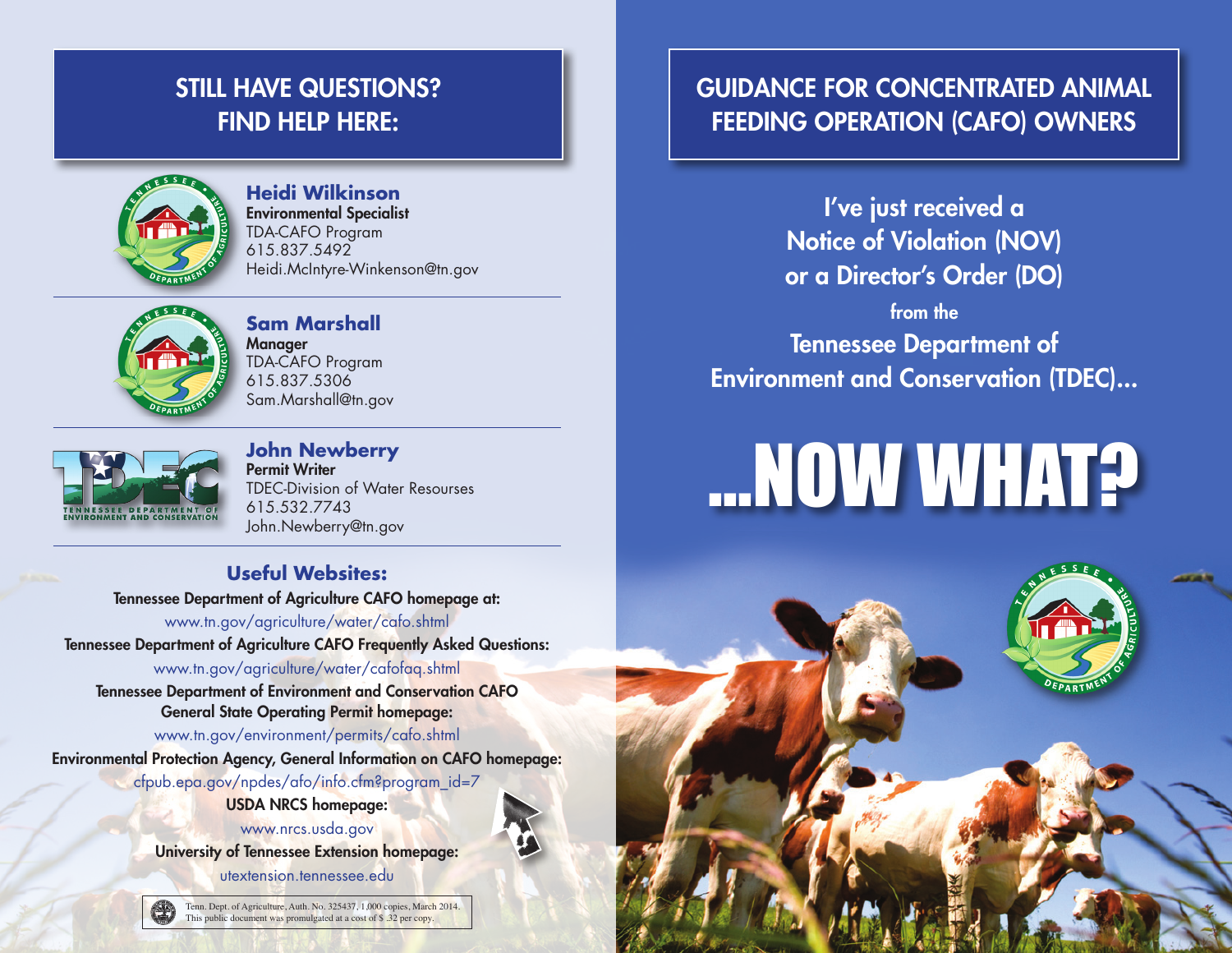# STILL HAVE QUESTIONS? Find help here:



**Heidi Wilkinson** Environmental Specialist TDA-CAFO Program 615.837.5492 Heidi.McIntyre-Winkenson@tn.gov



**Sam Marshall Manager** TDA-CAFO Program 615.837.5306 Sam.Marshall@tn.gov



**John Newberry** Permit Writer TDEC-Division of Water Resourses 615.532.7743 John.Newberry@tn.gov

### **Useful Websites:**

Tennessee Department of Agriculture CAFO homepage at:

www.tn.gov/agriculture/water/cafo.shtml Tennessee Department of Agriculture CAFO Frequently Asked Questions: www.tn.gov/agriculture/water/cafofaq.shtml

Tennessee Department of Environment and Conservation CAFO General State Operating Permit homepage:

www.tn.gov/environment/permits/cafo.shtml

Environmental Protection Agency, General Information on CAFO homepage:

cfpub.epa.gov/npdes/afo/info.cfm?program\_id=7

USDA NRCS homepage:

www.nrcs.usda.gov University of Tennessee Extension homepage: utextension.tennessee.edu



Tenn. Dept. of Agriculture, Auth. No. 325437, 1,000 copies, March 2014.<br>This public document was promulgated at a cost of \$ .32 per copy.

## Guidance for Concentrated Animal Feeding Operation (CAFO) Owners

I've just received a Notice of Violation (NOV) or a Director's Order (DO)

from the

Tennessee Department of Environment and Conservation (TDEC)...

# **.....** YOW WHAT?